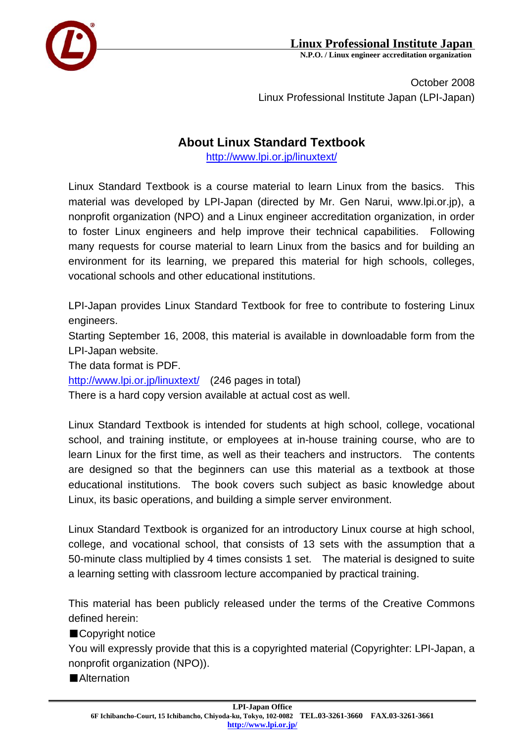

## **Linux Professional Institute Japan**<br>N.P.O. / Linux engineer accreditation organization

October 2008 Linux Professional Institute Japan (LPI-Japan)

## **About Linux Standard Textbook**

http://www.lpi.or.jp/linuxtext/

Linux Standard Textbook is a course material to learn Linux from the basics. This material was developed by LPI-Japan (directed by Mr. Gen Narui, www.lpi.or.jp), a nonprofit organization (NPO) and a Linux engineer accreditation organization, in order to foster Linux engineers and help improve their technical capabilities. Following many requests for course material to learn Linux from the basics and for building an environment for its learning, we prepared this material for high schools, colleges, vocational schools and other educational institutions.

LPI-Japan provides Linux Standard Textbook for free to contribute to fostering Linux engineers.

Starting September 16, 2008, this material is available in downloadable form from the LPI-Japan website.

The data format is PDF.

http://www.lpi.or.jp/linuxtext/ (246 pages in total)

There is a hard copy version available at actual cost as well.

Linux Standard Textbook is intended for students at high school, college, vocational school, and training institute, or employees at in-house training course, who are to learn Linux for the first time, as well as their teachers and instructors. The contents are designed so that the beginners can use this material as a textbook at those educational institutions. The book covers such subject as basic knowledge about Linux, its basic operations, and building a simple server environment.

Linux Standard Textbook is organized for an introductory Linux course at high school, college, and vocational school, that consists of 13 sets with the assumption that a 50-minute class multiplied by 4 times consists 1 set. The material is designed to suite a learning setting with classroom lecture accompanied by practical training.

This material has been publicly released under the terms of the Creative Commons defined herein:

■Copyright notice

You will expressly provide that this is a copyrighted material (Copyrighter: LPI-Japan, a nonprofit organization (NPO)).

■Alternation